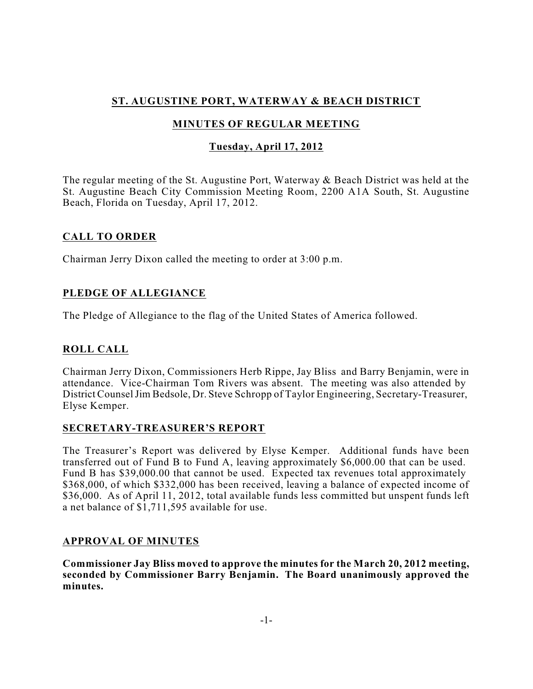# **ST. AUGUSTINE PORT, WATERWAY & BEACH DISTRICT**

# **MINUTES OF REGULAR MEETING**

## **Tuesday, April 17, 2012**

The regular meeting of the St. Augustine Port, Waterway & Beach District was held at the St. Augustine Beach City Commission Meeting Room, 2200 A1A South, St. Augustine Beach, Florida on Tuesday, April 17, 2012.

## **CALL TO ORDER**

Chairman Jerry Dixon called the meeting to order at 3:00 p.m.

## **PLEDGE OF ALLEGIANCE**

The Pledge of Allegiance to the flag of the United States of America followed.

# **ROLL CALL**

Chairman Jerry Dixon, Commissioners Herb Rippe, Jay Bliss and Barry Benjamin, were in attendance. Vice-Chairman Tom Rivers was absent. The meeting was also attended by District CounselJim Bedsole, Dr. Steve Schropp of Taylor Engineering, Secretary-Treasurer, Elyse Kemper.

## **SECRETARY-TREASURER'S REPORT**

The Treasurer's Report was delivered by Elyse Kemper. Additional funds have been transferred out of Fund B to Fund A, leaving approximately \$6,000.00 that can be used. Fund B has \$39,000.00 that cannot be used. Expected tax revenues total approximately \$368,000, of which \$332,000 has been received, leaving a balance of expected income of \$36,000. As of April 11, 2012, total available funds less committed but unspent funds left a net balance of \$1,711,595 available for use.

## **APPROVAL OF MINUTES**

**Commissioner Jay Bliss moved to approve the minutes for the March 20, 2012 meeting, seconded by Commissioner Barry Benjamin. The Board unanimously approved the minutes.**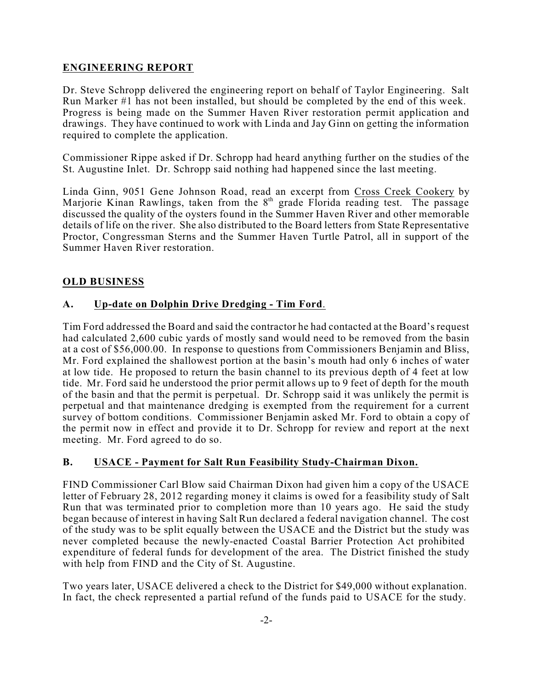## **ENGINEERING REPORT**

Dr. Steve Schropp delivered the engineering report on behalf of Taylor Engineering. Salt Run Marker #1 has not been installed, but should be completed by the end of this week. Progress is being made on the Summer Haven River restoration permit application and drawings. They have continued to work with Linda and Jay Ginn on getting the information required to complete the application.

Commissioner Rippe asked if Dr. Schropp had heard anything further on the studies of the St. Augustine Inlet. Dr. Schropp said nothing had happened since the last meeting.

Linda Ginn, 9051 Gene Johnson Road, read an excerpt from Cross Creek Cookery by Marjorie Kinan Rawlings, taken from the 8<sup>th</sup> grade Florida reading test. The passage discussed the quality of the oysters found in the Summer Haven River and other memorable details of life on the river. She also distributed to the Board letters from State Representative Proctor, Congressman Sterns and the Summer Haven Turtle Patrol, all in support of the Summer Haven River restoration.

### **OLD BUSINESS**

### **A. Up-date on Dolphin Drive Dredging - Tim Ford**.

Tim Ford addressed the Board and said the contractor he had contacted at the Board's request had calculated 2,600 cubic yards of mostly sand would need to be removed from the basin at a cost of \$56,000.00. In response to questions from Commissioners Benjamin and Bliss, Mr. Ford explained the shallowest portion at the basin's mouth had only 6 inches of water at low tide. He proposed to return the basin channel to its previous depth of 4 feet at low tide. Mr. Ford said he understood the prior permit allows up to 9 feet of depth for the mouth of the basin and that the permit is perpetual. Dr. Schropp said it was unlikely the permit is perpetual and that maintenance dredging is exempted from the requirement for a current survey of bottom conditions. Commissioner Benjamin asked Mr. Ford to obtain a copy of the permit now in effect and provide it to Dr. Schropp for review and report at the next meeting. Mr. Ford agreed to do so.

### **B. USACE - Payment for Salt Run Feasibility Study-Chairman Dixon.**

FIND Commissioner Carl Blow said Chairman Dixon had given him a copy of the USACE letter of February 28, 2012 regarding money it claims is owed for a feasibility study of Salt Run that was terminated prior to completion more than 10 years ago. He said the study began because of interest in having Salt Run declared a federal navigation channel. The cost of the study was to be split equally between the USACE and the District but the study was never completed because the newly-enacted Coastal Barrier Protection Act prohibited expenditure of federal funds for development of the area. The District finished the study with help from FIND and the City of St. Augustine.

Two years later, USACE delivered a check to the District for \$49,000 without explanation. In fact, the check represented a partial refund of the funds paid to USACE for the study.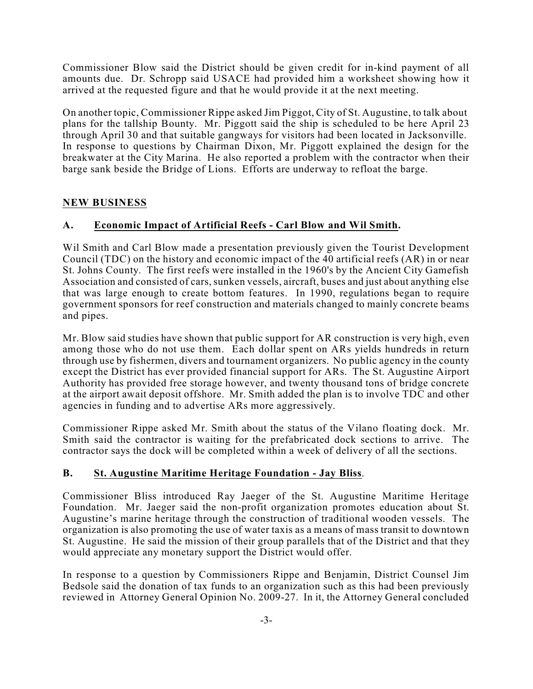Commissioner Blow said the District should be given credit for in-kind payment of all amounts due. Dr. Schropp said USACE had provided him a worksheet showing how it arrived at the requested figure and that he would provide it at the next meeting.

On another topic, Commissioner Rippe asked Jim Piggot, City of St. Augustine, to talk about plans for the tallship Bounty. Mr. Piggott said the ship is scheduled to be here April 23 through April 30 and that suitable gangways for visitors had been located in Jacksonville. In response to questions by Chairman Dixon, Mr. Piggott explained the design for the breakwater at the City Marina. He also reported a problem with the contractor when their barge sank beside the Bridge of Lions. Efforts are underway to refloat the barge.

## **NEW BUSINESS**

## **A. Economic Impact of Artificial Reefs - Carl Blow and Wil Smith.**

Wil Smith and Carl Blow made a presentation previously given the Tourist Development Council (TDC) on the history and economic impact of the 40 artificial reefs (AR) in or near St. Johns County. The first reefs were installed in the 1960's by the Ancient City Gamefish Association and consisted of cars, sunken vessels, aircraft, buses and just about anything else that was large enough to create bottom features. In 1990, regulations began to require government sponsors for reef construction and materials changed to mainly concrete beams and pipes.

Mr. Blow said studies have shown that public support for AR construction is very high, even among those who do not use them. Each dollar spent on ARs yields hundreds in return through use by fishermen, divers and tournament organizers. No public agency in the county except the District has ever provided financial support for ARs. The St. Augustine Airport Authority has provided free storage however, and twenty thousand tons of bridge concrete at the airport await deposit offshore. Mr. Smith added the plan is to involve TDC and other agencies in funding and to advertise ARs more aggressively.

Commissioner Rippe asked Mr. Smith about the status of the Vilano floating dock. Mr. Smith said the contractor is waiting for the prefabricated dock sections to arrive. The contractor says the dock will be completed within a week of delivery of all the sections.

## **B. St. Augustine Maritime Heritage Foundation - Jay Bliss**.

Commissioner Bliss introduced Ray Jaeger of the St. Augustine Maritime Heritage Foundation. Mr. Jaeger said the non-profit organization promotes education about St. Augustine's marine heritage through the construction of traditional wooden vessels. The organization is also promoting the use of water taxis as a means of mass transit to downtown St. Augustine. He said the mission of their group parallels that of the District and that they would appreciate any monetary support the District would offer.

In response to a question by Commissioners Rippe and Benjamin, District Counsel Jim Bedsole said the donation of tax funds to an organization such as this had been previously reviewed in Attorney General Opinion No. 2009-27. In it, the Attorney General concluded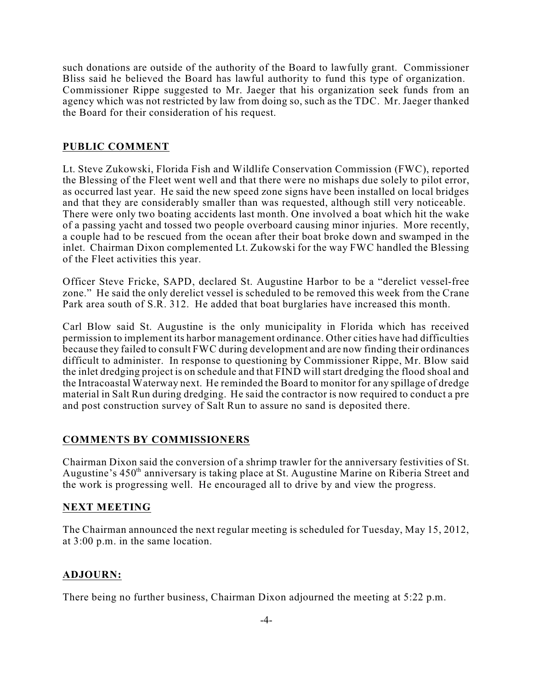such donations are outside of the authority of the Board to lawfully grant. Commissioner Bliss said he believed the Board has lawful authority to fund this type of organization. Commissioner Rippe suggested to Mr. Jaeger that his organization seek funds from an agency which was not restricted by law from doing so, such as the TDC. Mr. Jaeger thanked the Board for their consideration of his request.

## **PUBLIC COMMENT**

Lt. Steve Zukowski, Florida Fish and Wildlife Conservation Commission (FWC), reported the Blessing of the Fleet went well and that there were no mishaps due solely to pilot error, as occurred last year. He said the new speed zone signs have been installed on local bridges and that they are considerably smaller than was requested, although still very noticeable. There were only two boating accidents last month. One involved a boat which hit the wake of a passing yacht and tossed two people overboard causing minor injuries. More recently, a couple had to be rescued from the ocean after their boat broke down and swamped in the inlet. Chairman Dixon complemented Lt. Zukowski for the way FWC handled the Blessing of the Fleet activities this year.

Officer Steve Fricke, SAPD, declared St. Augustine Harbor to be a "derelict vessel-free zone." He said the only derelict vessel is scheduled to be removed this week from the Crane Park area south of S.R. 312. He added that boat burglaries have increased this month.

Carl Blow said St. Augustine is the only municipality in Florida which has received permission to implement its harbor management ordinance. Other cities have had difficulties because they failed to consult FWC during development and are now finding their ordinances difficult to administer. In response to questioning by Commissioner Rippe, Mr. Blow said the inlet dredging project is on schedule and that FIND will start dredging the flood shoal and the Intracoastal Waterway next. He reminded the Board to monitor for any spillage of dredge material in Salt Run during dredging. He said the contractor is now required to conduct a pre and post construction survey of Salt Run to assure no sand is deposited there.

## **COMMENTS BY COMMISSIONERS**

Chairman Dixon said the conversion of a shrimp trawler for the anniversary festivities of St. Augustine's 450<sup>th</sup> anniversary is taking place at St. Augustine Marine on Riberia Street and the work is progressing well. He encouraged all to drive by and view the progress.

### **NEXT MEETING**

The Chairman announced the next regular meeting is scheduled for Tuesday, May 15, 2012, at 3:00 p.m. in the same location.

### **ADJOURN:**

There being no further business, Chairman Dixon adjourned the meeting at 5:22 p.m.